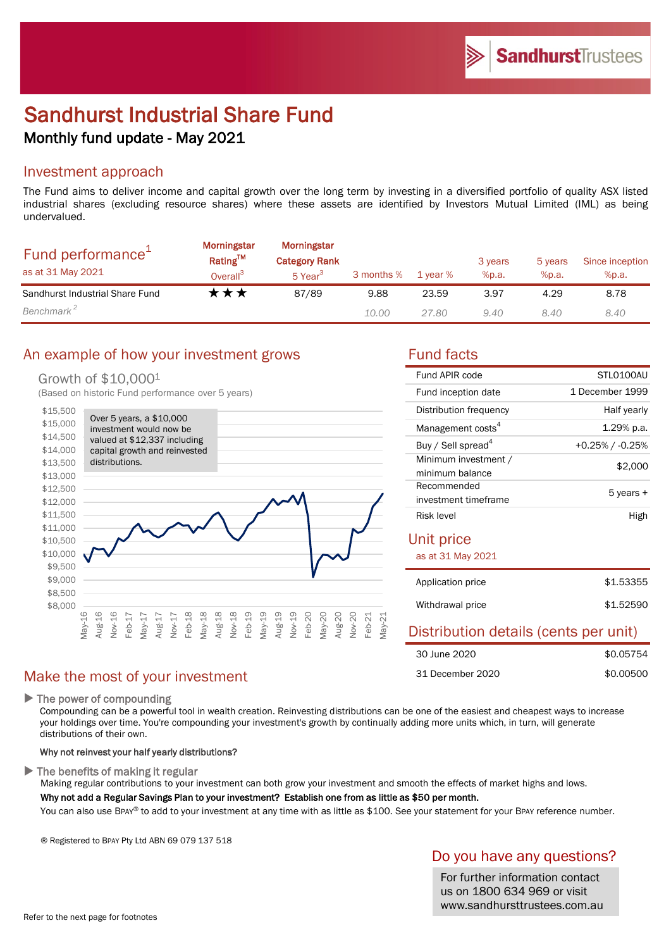# Sandhurst Industrial Share Fund Monthly fund update - May 2021

### Investment approach

The Fund aims to deliver income and capital growth over the long term by investing in a diversified portfolio of quality ASX listed industrial shares (excluding resource shares) where these assets are identified by Investors Mutual Limited (IML) as being undervalued.

| Fund performance <sup>+</sup><br>as at 31 May 2021 | Morningstar<br>Rating™<br>Overall <sup>3</sup> | Morningstar<br><b>Category Rank</b><br>5 Year <sup>3</sup> | 3 months % | 1 vear % | 3 years<br>%p.a. | 5 years<br>%p.a. | Since inception<br>%p.a. |
|----------------------------------------------------|------------------------------------------------|------------------------------------------------------------|------------|----------|------------------|------------------|--------------------------|
| Sandhurst Industrial Share Fund                    | k★★                                            | 87/89                                                      | 9.88       | 23.59    | 3.97             | 4.29             | 8.78                     |
| Benchmark <sup>2</sup>                             |                                                |                                                            | 10.00      | 27.80    | 9.40             | 8.40             | 8.40                     |

## An example of how your investment grows Tund facts

### Growth of \$10,0001

(Based on historic Fund performance over 5 years)



### Make the most of your investment

▶ The power of compounding

Compounding can be a powerful tool in wealth creation. Reinvesting distributions can be one of the easiest and cheapest ways to increase your holdings over time. You're compounding your investment's growth by continually adding more units which, in turn, will generate distributions of their own.

### Why not reinvest your half yearly distributions?

 $\blacktriangleright$  The benefits of making it regular

Making regular contributions to your investment can both grow your investment and smooth the effects of market highs and lows. Why not add a Regular Savings Plan to your investment? Establish one from as little as \$50 per month.

You can also use BPAY® to add to your investment at any time with as little as \$100. See your statement for your BPAY reference number.

® Registered to BPAY Pty Ltd ABN 69 079 137 518

## Do you have any questions?

For further information contact us on 1800 634 969 or visit www.sandhursttrustees.com.au

| Fund APIR code                          | STLO100AU             |  |  |  |  |
|-----------------------------------------|-----------------------|--|--|--|--|
| Fund inception date                     | 1 December 1999       |  |  |  |  |
| Distribution frequency                  | Half yearly           |  |  |  |  |
| Management costs <sup>4</sup>           | 1.29% p.a.            |  |  |  |  |
| Buy / Sell spread <sup>4</sup>          | $+0.25\%$ / $-0.25\%$ |  |  |  |  |
| Minimum investment /<br>minimum balance | \$2,000               |  |  |  |  |
| Recommended<br>investment timeframe     | 5 years +             |  |  |  |  |
| Risk level                              | High                  |  |  |  |  |
| Unit price                              |                       |  |  |  |  |
| as at 31 May 2021                       |                       |  |  |  |  |
| Application price                       | \$1.53355             |  |  |  |  |
| Withdrawal price                        | \$1.52590             |  |  |  |  |
| Distribution details (cents per unit)   |                       |  |  |  |  |
| 30 June 2020                            | \$0.05754             |  |  |  |  |
| 31 December 2020                        | \$0.00500             |  |  |  |  |